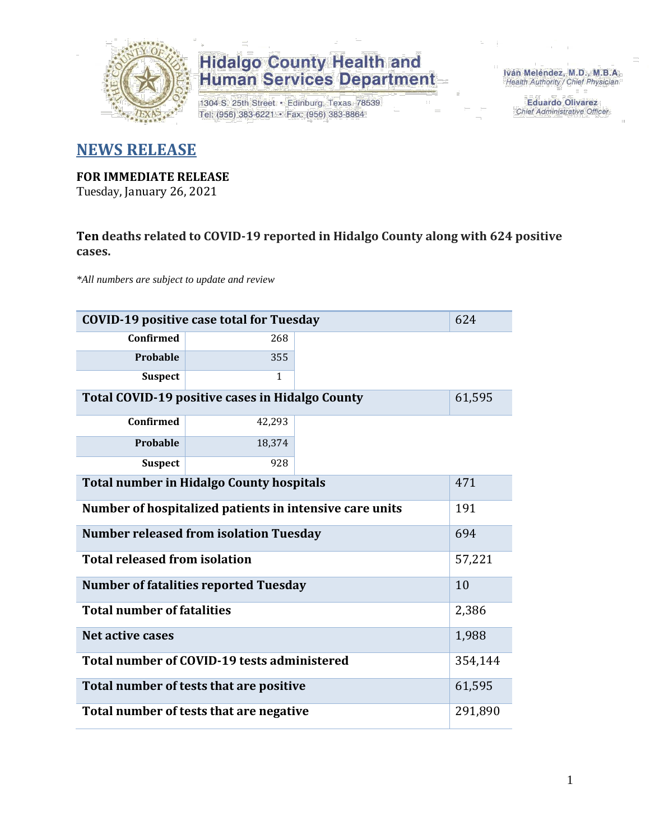

1304 S. 25th Street · Edinburg, Texas 78539 Tel: (956) 383-6221 · Fax: (956) 383-8864

Iván Meléndez, M.D., M.B.A. Health Authority / Chief Physician

> **Eduardo Olivarez** Chief Administrative Officer

### **NEWS RELEASE**

#### **FOR IMMEDIATE RELEASE**

Tuesday, January 26, 2021

### **Ten deaths related to COVID-19 reported in Hidalgo County along with 624 positive cases.**

*\*All numbers are subject to update and review*

| 624<br><b>COVID-19 positive case total for Tuesday</b>    |                                              |  |         |  |  |  |  |  |  |
|-----------------------------------------------------------|----------------------------------------------|--|---------|--|--|--|--|--|--|
| <b>Confirmed</b>                                          | 268                                          |  |         |  |  |  |  |  |  |
| Probable                                                  | 355                                          |  |         |  |  |  |  |  |  |
| <b>Suspect</b>                                            | 1                                            |  |         |  |  |  |  |  |  |
| Total COVID-19 positive cases in Hidalgo County<br>61,595 |                                              |  |         |  |  |  |  |  |  |
| <b>Confirmed</b>                                          |                                              |  |         |  |  |  |  |  |  |
| Probable                                                  | 18,374                                       |  |         |  |  |  |  |  |  |
| <b>Suspect</b>                                            | 928                                          |  |         |  |  |  |  |  |  |
| <b>Total number in Hidalgo County hospitals</b>           |                                              |  |         |  |  |  |  |  |  |
| Number of hospitalized patients in intensive care units   | 191                                          |  |         |  |  |  |  |  |  |
| <b>Number released from isolation Tuesday</b>             |                                              |  |         |  |  |  |  |  |  |
| <b>Total released from isolation</b>                      |                                              |  | 57,221  |  |  |  |  |  |  |
|                                                           | <b>Number of fatalities reported Tuesday</b> |  | 10      |  |  |  |  |  |  |
| <b>Total number of fatalities</b>                         |                                              |  | 2,386   |  |  |  |  |  |  |
| Net active cases                                          |                                              |  | 1,988   |  |  |  |  |  |  |
|                                                           | Total number of COVID-19 tests administered  |  | 354,144 |  |  |  |  |  |  |
| 61,595<br>Total number of tests that are positive         |                                              |  |         |  |  |  |  |  |  |
| Total number of tests that are negative                   |                                              |  |         |  |  |  |  |  |  |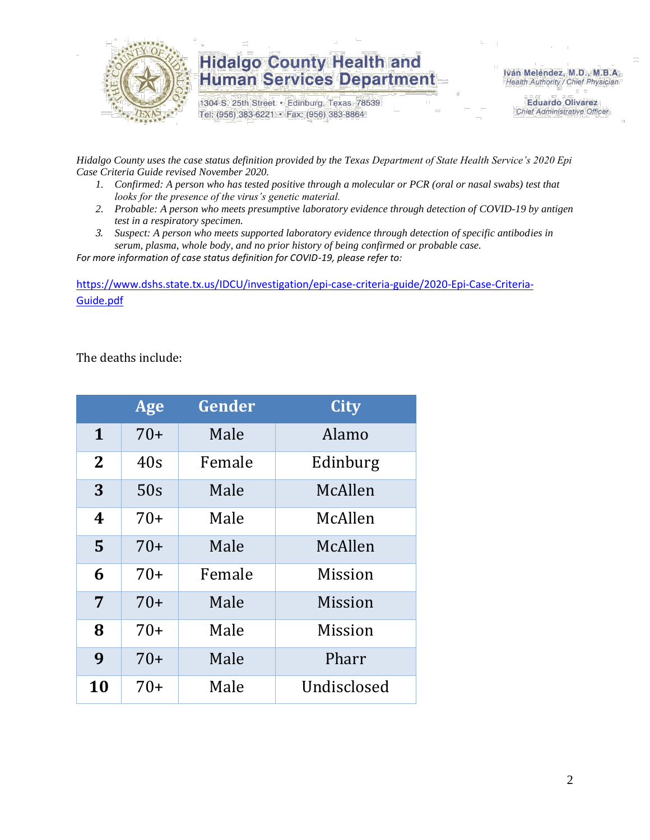

1304 S. 25th Street · Edinburg, Texas 78539 Tel: (956) 383-6221 · Fax: (956) 383-8864

Iván Meléndez, M.D., M.B.A. Health Authority / Chief Physician

> **Eduardo Olivarez** Chief Administrative Officer

*Hidalgo County uses the case status definition provided by the Texas Department of State Health Service's 2020 Epi Case Criteria Guide revised November 2020.*

- *1. Confirmed: A person who has tested positive through a molecular or PCR (oral or nasal swabs) test that looks for the presence of the virus's genetic material.*
- *2. Probable: A person who meets presumptive laboratory evidence through detection of COVID-19 by antigen test in a respiratory specimen.*
- *3. Suspect: A person who meets supported laboratory evidence through detection of specific antibodies in serum, plasma, whole body, and no prior history of being confirmed or probable case.*

*For more information of case status definition for COVID-19, please refer to:*

[https://www.dshs.state.tx.us/IDCU/investigation/epi-case-criteria-guide/2020-Epi-Case-Criteria-](https://www.dshs.state.tx.us/IDCU/investigation/epi-case-criteria-guide/2020-Epi-Case-Criteria-Guide.pdf)[Guide.pdf](https://www.dshs.state.tx.us/IDCU/investigation/epi-case-criteria-guide/2020-Epi-Case-Criteria-Guide.pdf)

The deaths include:

|                | Age   | Gender | <b>City</b>    |  |  |  |  |  |
|----------------|-------|--------|----------------|--|--|--|--|--|
| $\mathbf{1}$   | $70+$ | Male   | Alamo          |  |  |  |  |  |
| 2 <sub>2</sub> | 40s   | Female | Edinburg       |  |  |  |  |  |
| 3              | 50s   | Male   | McAllen        |  |  |  |  |  |
| 4              | $70+$ | Male   | McAllen        |  |  |  |  |  |
| 5              | $70+$ | Male   | McAllen        |  |  |  |  |  |
| 6              | $70+$ | Female | Mission        |  |  |  |  |  |
| $\overline{7}$ | $70+$ | Male   | <b>Mission</b> |  |  |  |  |  |
| 8              | $70+$ | Male   | <b>Mission</b> |  |  |  |  |  |
| 9              | $70+$ | Male   | Pharr          |  |  |  |  |  |
| 10             | $70+$ | Male   | Undisclosed    |  |  |  |  |  |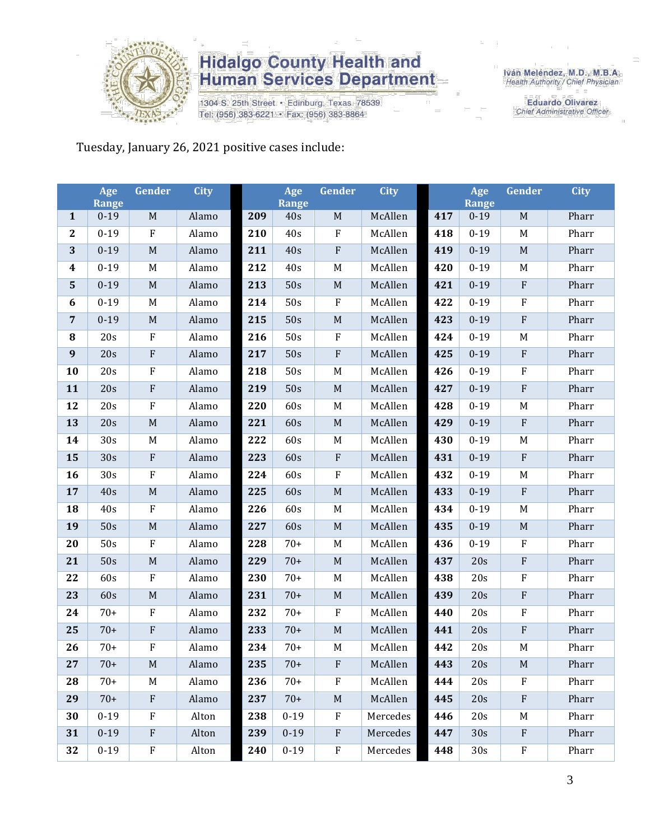

1304 S. 25th Street · Edinburg, Texas 78539 Tel: (956) 383-6221 · Fax: (956) 383-8864

Iván Meléndez, M.D., M.B.A.<br>Health Authority / Chief Physician

**Eduardo Olivarez** Chief Administrative Officer

Tuesday, January 26, 2021 positive cases include:

|                  | Age<br><b>Range</b> | Gender                    | <b>City</b> |     | Age<br><b>Range</b> | Gender      | <b>City</b> |     | Age<br><b>Range</b> | Gender                    | <b>City</b> |
|------------------|---------------------|---------------------------|-------------|-----|---------------------|-------------|-------------|-----|---------------------|---------------------------|-------------|
| $\mathbf{1}$     | $0 - 19$            | $\mathbf M$               | Alamo       | 209 | 40s                 | $\mathbf M$ | McAllen     | 417 | $0 - 19$            | M                         | Pharr       |
| $\mathbf{2}$     | $0 - 19$            | $\rm F$                   | Alamo       | 210 | 40s                 | $\rm F$     | McAllen     | 418 | $0 - 19$            | M                         | Pharr       |
| 3                | $0 - 19$            | M                         | Alamo       | 211 | 40s                 | $\rm F$     | McAllen     | 419 | $0 - 19$            | M                         | Pharr       |
| $\boldsymbol{4}$ | $0 - 19$            | M                         | Alamo       | 212 | 40s                 | $\mathbf M$ | McAllen     | 420 | $0 - 19$            | M                         | Pharr       |
| 5                | $0 - 19$            | $\mathbf M$               | Alamo       | 213 | 50s                 | $\mathbf M$ | McAllen     | 421 | $0 - 19$            | $\rm F$                   | Pharr       |
| $\boldsymbol{6}$ | $0 - 19$            | M                         | Alamo       | 214 | 50s                 | $\rm F$     | McAllen     | 422 | $0 - 19$            | $\rm F$                   | Pharr       |
| $\overline{7}$   | $0 - 19$            | $\mathbf M$               | Alamo       | 215 | 50s                 | $\mathbf M$ | McAllen     | 423 | $0 - 19$            | ${\bf F}$                 | Pharr       |
| 8                | 20s                 | $\rm F$                   | Alamo       | 216 | 50s                 | $\rm F$     | McAllen     | 424 | $0 - 19$            | M                         | Pharr       |
| $\boldsymbol{9}$ | 20s                 | $\rm F$                   | Alamo       | 217 | 50s                 | $\rm F$     | McAllen     | 425 | $0 - 19$            | $\rm F$                   | Pharr       |
| 10               | 20s                 | ${\bf F}$                 | Alamo       | 218 | 50s                 | $\mathbf M$ | McAllen     | 426 | $0 - 19$            | $\rm F$                   | Pharr       |
| 11               | 20s                 | $\rm F$                   | Alamo       | 219 | 50s                 | $\mathbf M$ | McAllen     | 427 | $0 - 19$            | ${\bf F}$                 | Pharr       |
| 12               | 20s                 | $\rm F$                   | Alamo       | 220 | 60s                 | $\mathbf M$ | McAllen     | 428 | $0 - 19$            | $\mathbf M$               | Pharr       |
| 13               | 20s                 | $\mathbf M$               | Alamo       | 221 | 60s                 | $\mathbf M$ | McAllen     | 429 | $0 - 19$            | $\rm F$                   | Pharr       |
| 14               | 30s                 | M                         | Alamo       | 222 | 60s                 | M           | McAllen     | 430 | $0 - 19$            | M                         | Pharr       |
| 15               | 30s                 | F                         | Alamo       | 223 | 60s                 | $\rm F$     | McAllen     | 431 | $0 - 19$            | $\mathbf{F}$              | Pharr       |
| 16               | 30s                 | $\rm F$                   | Alamo       | 224 | 60s                 | $\rm F$     | McAllen     | 432 | $0 - 19$            | M                         | Pharr       |
| 17               | 40s                 | $\mathbf M$               | Alamo       | 225 | 60s                 | $\mathbf M$ | McAllen     | 433 | $0 - 19$            | ${\bf F}$                 | Pharr       |
| 18               | 40s                 | $\rm F$                   | Alamo       | 226 | 60s                 | $\mathbf M$ | McAllen     | 434 | $0 - 19$            | $\mathbf M$               | Pharr       |
| 19               | 50s                 | $\mathbf M$               | Alamo       | 227 | 60s                 | $\mathbf M$ | McAllen     | 435 | $0 - 19$            | $\mathbf M$               | Pharr       |
| 20               | 50s                 | $\rm F$                   | Alamo       | 228 | $70+$               | M           | McAllen     | 436 | $0 - 19$            | F                         | Pharr       |
| 21               | 50s                 | $\mathbf M$               | Alamo       | 229 | $70+$               | $\mathbf M$ | McAllen     | 437 | 20s                 | ${\bf F}$                 | Pharr       |
| 22               | 60s                 | $\rm F$                   | Alamo       | 230 | $70+$               | $\mathbf M$ | McAllen     | 438 | 20s                 | ${\bf F}$                 | Pharr       |
| 23               | 60s                 | $\mathbf M$               | Alamo       | 231 | $70+$               | $\mathbf M$ | McAllen     | 439 | 20s                 | ${\bf F}$                 | Pharr       |
| 24               | $70+$               | $\rm F$                   | Alamo       | 232 | $70+$               | $\rm F$     | McAllen     | 440 | 20s                 | F                         | Pharr       |
| 25               | $70+$               | $\rm F$                   | Alamo       | 233 | $70+$               | $\mathbf M$ | McAllen     | 441 | 20s                 | ${\bf F}$                 | Pharr       |
| 26               | $70+$               | $\boldsymbol{\mathrm{F}}$ | Alamo       | 234 | $70+$               | $M_{\rm}$   | McAllen     | 442 | 20s                 | $\mathbf M$               | Pharr       |
| 27               | 70+                 | M                         | Alamo       | 235 | 70+                 | F           | McAllen     | 443 | 20s                 | M                         | Pharr       |
| 28               | $70+$               | M                         | Alamo       | 236 | $70+$               | $\rm F$     | McAllen     | 444 | 20s                 | $\rm F$                   | Pharr       |
| 29               | $70+$               | $\boldsymbol{\mathrm{F}}$ | Alamo       | 237 | $70+$               | $\mathbf M$ | McAllen     | 445 | 20s                 | $\boldsymbol{\mathrm{F}}$ | Pharr       |
| 30               | $0 - 19$            | F                         | Alton       | 238 | $0 - 19$            | $\rm F$     | Mercedes    | 446 | 20s                 | M                         | Pharr       |
| 31               | $0-19$              | ${\bf F}$                 | Alton       | 239 | $0 - 19$            | $\rm F$     | Mercedes    | 447 | 30s                 | $\rm F$                   | Pharr       |
| 32               | $0 - 19$            | $\rm F$                   | Alton       | 240 | $0 - 19$            | $\rm F$     | Mercedes    | 448 | 30s                 | F                         | Pharr       |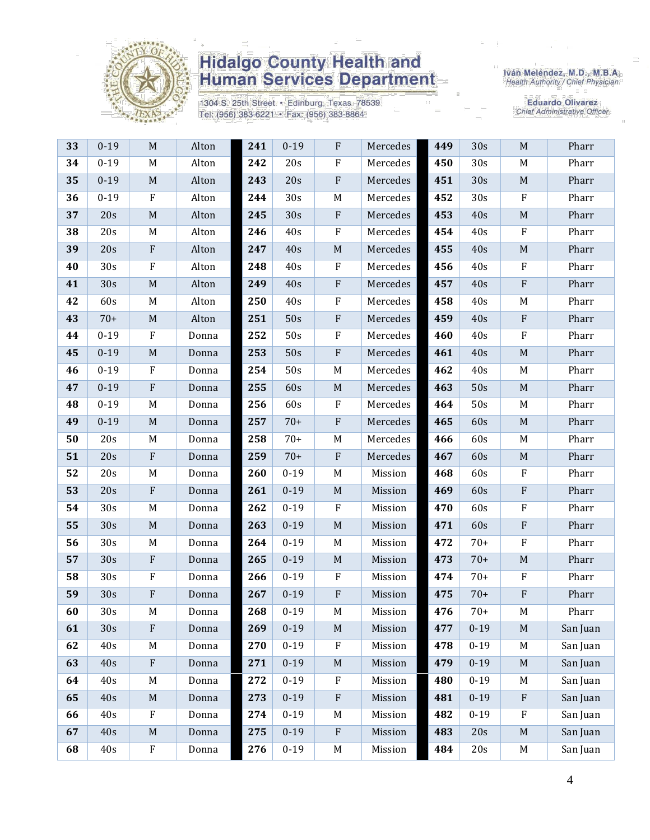

1304 S. 25th Street · Edinburg, Texas 78539 Tel: (956) 383-6221 · Fax: (956) 383-8864

Iván Meléndez, M.D., M.B.A.<br>Health Authority / Chief Physician

| 33 | $0 - 19$ | M                         | Alton | 241 | $0 - 19$ | $\mathbf{F}$ | Mercedes | 449 | 30s      | M                         | Pharr    |
|----|----------|---------------------------|-------|-----|----------|--------------|----------|-----|----------|---------------------------|----------|
| 34 | $0 - 19$ | M                         | Alton | 242 | 20s      | $\rm F$      | Mercedes | 450 | 30s      | M                         | Pharr    |
| 35 | $0 - 19$ | $\mathbf M$               | Alton | 243 | 20s      | $\rm F$      | Mercedes | 451 | 30s      | $\mathbf M$               | Pharr    |
| 36 | $0 - 19$ | ${\bf F}$                 | Alton | 244 | 30s      | M            | Mercedes | 452 | 30s      | ${\bf F}$                 | Pharr    |
| 37 | 20s      | $\mathbf M$               | Alton | 245 | 30s      | ${\bf F}$    | Mercedes | 453 | 40s      | $\mathbf M$               | Pharr    |
| 38 | 20s      | M                         | Alton | 246 | 40s      | $\rm F$      | Mercedes | 454 | 40s      | ${\bf F}$                 | Pharr    |
| 39 | 20s      | $\boldsymbol{\mathrm{F}}$ | Alton | 247 | 40s      | $\mathbf M$  | Mercedes | 455 | 40s      | $\mathbf M$               | Pharr    |
| 40 | 30s      | ${\bf F}$                 | Alton | 248 | 40s      | $\rm F$      | Mercedes | 456 | 40s      | $\rm F$                   | Pharr    |
| 41 | 30s      | $\mathbf M$               | Alton | 249 | 40s      | $\rm F$      | Mercedes | 457 | 40s      | $\rm F$                   | Pharr    |
| 42 | 60s      | M                         | Alton | 250 | 40s      | ${\bf F}$    | Mercedes | 458 | 40s      | M                         | Pharr    |
| 43 | $70+$    | M                         | Alton | 251 | 50s      | $\rm F$      | Mercedes | 459 | 40s      | ${\bf F}$                 | Pharr    |
| 44 | $0 - 19$ | $\rm F$                   | Donna | 252 | 50s      | $\rm F$      | Mercedes | 460 | 40s      | $\rm F$                   | Pharr    |
| 45 | $0 - 19$ | $\mathbf M$               | Donna | 253 | 50s      | $\rm F$      | Mercedes | 461 | 40s      | $\mathbf M$               | Pharr    |
| 46 | $0 - 19$ | F                         | Donna | 254 | 50s      | M            | Mercedes | 462 | 40s      | M                         | Pharr    |
| 47 | $0 - 19$ | $\rm F$                   | Donna | 255 | 60s      | $\mathbf M$  | Mercedes | 463 | 50s      | $\mathbf M$               | Pharr    |
| 48 | $0 - 19$ | M                         | Donna | 256 | 60s      | $\rm F$      | Mercedes | 464 | 50s      | M                         | Pharr    |
| 49 | $0 - 19$ | M                         | Donna | 257 | $70+$    | ${\bf F}$    | Mercedes | 465 | 60s      | $\mathbf M$               | Pharr    |
| 50 | 20s      | M                         | Donna | 258 | $70+$    | M            | Mercedes | 466 | 60s      | M                         | Pharr    |
| 51 | 20s      | $\rm F$                   | Donna | 259 | $70+$    | $\rm F$      | Mercedes | 467 | 60s      | $\mathbf M$               | Pharr    |
| 52 | 20s      | M                         | Donna | 260 | $0 - 19$ | M            | Mission  | 468 | 60s      | $\boldsymbol{\mathrm{F}}$ | Pharr    |
| 53 | 20s      | ${\bf F}$                 | Donna | 261 | $0 - 19$ | $\mathbf M$  | Mission  | 469 | 60s      | ${\bf F}$                 | Pharr    |
| 54 | 30s      | M                         | Donna | 262 | $0 - 19$ | $\rm F$      | Mission  | 470 | 60s      | ${\bf F}$                 | Pharr    |
| 55 | 30s      | $\mathbf M$               | Donna | 263 | $0 - 19$ | $\mathbf M$  | Mission  | 471 | 60s      | ${\bf F}$                 | Pharr    |
| 56 | 30s      | M                         | Donna | 264 | $0 - 19$ | M            | Mission  | 472 | $70+$    | $\boldsymbol{\mathrm{F}}$ | Pharr    |
| 57 | 30s      | ${\bf F}$                 | Donna | 265 | $0 - 19$ | $\mathbf M$  | Mission  | 473 | $70+$    | $\mathbf M$               | Pharr    |
| 58 | 30s      | ${\bf F}$                 | Donna | 266 | $0 - 19$ | $\rm F$      | Mission  | 474 | $70+$    | $\rm F$                   | Pharr    |
| 59 | 30s      | ${\bf F}$                 | Donna | 267 | $0 - 19$ | ${\bf F}$    | Mission  | 475 | $70+$    | ${\bf F}$                 | Pharr    |
| 60 | 30s      | M                         | Donna | 268 | $0 - 19$ | M            | Mission  | 476 | $70+$    | M                         | Pharr    |
| 61 | 30s      | ${\bf F}$                 | Donna | 269 | $0 - 19$ | $\mathbf M$  | Mission  | 477 | $0 - 19$ | M                         | San Juan |
| 62 | 40s      | M                         | Donna | 270 | $0 - 19$ | $\rm F$      | Mission  | 478 | $0 - 19$ | M                         | San Juan |
| 63 | 40s      | ${\bf F}$                 | Donna | 271 | $0 - 19$ | $\mathbf M$  | Mission  | 479 | $0 - 19$ | $\mathbf M$               | San Juan |
| 64 | 40s      | M                         | Donna | 272 | $0 - 19$ | $\rm F$      | Mission  | 480 | $0 - 19$ | M                         | San Juan |
| 65 | 40s      | $\mathbf M$               | Donna | 273 | $0 - 19$ | $\rm F$      | Mission  | 481 | $0 - 19$ | ${\bf F}$                 | San Juan |
| 66 | 40s      | ${\bf F}$                 | Donna | 274 | $0 - 19$ | M            | Mission  | 482 | $0 - 19$ | $\rm F$                   | San Juan |
| 67 | 40s      | $\mathbf M$               | Donna | 275 | $0 - 19$ | $\rm F$      | Mission  | 483 | 20s      | $\mathbf M$               | San Juan |
| 68 | 40s      | ${\bf F}$                 | Donna | 276 | $0 - 19$ | $\mathbf M$  | Mission  | 484 | 20s      | M                         | San Juan |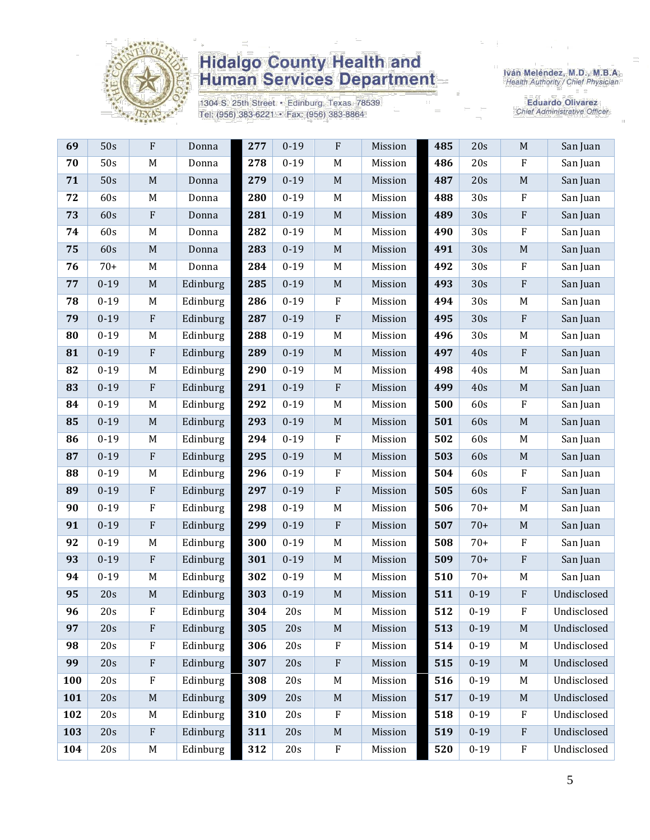

1304 S. 25th Street · Edinburg, Texas 78539 Tel: (956) 383-6221 · Fax: (956) 383-8864

Iván Meléndez, M.D., M.B.A.<br>Health Authority / Chief Physician

| 69  | 50s      | F                         | Donna    | 277 | $0 - 19$ | ${\bf F}$   | Mission | 485 | 20s      | $\mathbf M$               | San Juan    |
|-----|----------|---------------------------|----------|-----|----------|-------------|---------|-----|----------|---------------------------|-------------|
| 70  | 50s      | $\mathbf M$               | Donna    | 278 | $0 - 19$ | $\mathbf M$ | Mission | 486 | 20s      | ${\bf F}$                 | San Juan    |
| 71  | 50s      | $\mathbf M$               | Donna    | 279 | $0 - 19$ | $\mathbf M$ | Mission | 487 | 20s      | $\mathbf M$               | San Juan    |
| 72  | 60s      | M                         | Donna    | 280 | $0 - 19$ | $\mathbf M$ | Mission | 488 | 30s      | ${\bf F}$                 | San Juan    |
| 73  | 60s      | $\boldsymbol{\mathrm{F}}$ | Donna    | 281 | $0 - 19$ | $\mathbf M$ | Mission | 489 | 30s      | ${\bf F}$                 | San Juan    |
| 74  | 60s      | M                         | Donna    | 282 | $0 - 19$ | $M_{\rm}$   | Mission | 490 | 30s      | $\rm F$                   | San Juan    |
| 75  | 60s      | $\mathbf M$               | Donna    | 283 | $0 - 19$ | $\mathbf M$ | Mission | 491 | 30s      | $\mathbf M$               | San Juan    |
| 76  | $70+$    | M                         | Donna    | 284 | $0 - 19$ | M           | Mission | 492 | 30s      | ${\bf F}$                 | San Juan    |
| 77  | $0 - 19$ | $\mathbf M$               | Edinburg | 285 | $0 - 19$ | $\mathbf M$ | Mission | 493 | 30s      | ${\bf F}$                 | San Juan    |
| 78  | $0 - 19$ | M                         | Edinburg | 286 | $0 - 19$ | $\rm F$     | Mission | 494 | 30s      | M                         | San Juan    |
| 79  | $0 - 19$ | ${\bf F}$                 | Edinburg | 287 | $0 - 19$ | ${\bf F}$   | Mission | 495 | 30s      | ${\bf F}$                 | San Juan    |
| 80  | $0 - 19$ | M                         | Edinburg | 288 | $0 - 19$ | $\mathbf M$ | Mission | 496 | 30s      | $\mathbf M$               | San Juan    |
| 81  | $0 - 19$ | $\boldsymbol{\mathrm{F}}$ | Edinburg | 289 | $0 - 19$ | $\mathbf M$ | Mission | 497 | 40s      | $\boldsymbol{\mathrm{F}}$ | San Juan    |
| 82  | $0 - 19$ | M                         | Edinburg | 290 | $0 - 19$ | M           | Mission | 498 | 40s      | M                         | San Juan    |
| 83  | $0 - 19$ | ${\bf F}$                 | Edinburg | 291 | $0 - 19$ | ${\bf F}$   | Mission | 499 | 40s      | $\mathbf M$               | San Juan    |
| 84  | $0 - 19$ | M                         | Edinburg | 292 | $0 - 19$ | $\mathbf M$ | Mission | 500 | 60s      | ${\bf F}$                 | San Juan    |
| 85  | $0 - 19$ | $\mathbf M$               | Edinburg | 293 | $0 - 19$ | $\mathbf M$ | Mission | 501 | 60s      | $\mathbf M$               | San Juan    |
| 86  | $0 - 19$ | M                         | Edinburg | 294 | $0 - 19$ | ${\bf F}$   | Mission | 502 | 60s      | $\mathbf M$               | San Juan    |
| 87  | $0 - 19$ | $\boldsymbol{\mathrm{F}}$ | Edinburg | 295 | $0 - 19$ | $\mathbf M$ | Mission | 503 | 60s      | $\mathbf M$               | San Juan    |
| 88  | $0 - 19$ | M                         | Edinburg | 296 | $0 - 19$ | ${\bf F}$   | Mission | 504 | 60s      | ${\bf F}$                 | San Juan    |
| 89  | $0 - 19$ | $\rm F$                   | Edinburg | 297 | $0 - 19$ | ${\bf F}$   | Mission | 505 | 60s      | ${\bf F}$                 | San Juan    |
| 90  | $0 - 19$ | $\rm F$                   | Edinburg | 298 | $0 - 19$ | $\mathbf M$ | Mission | 506 | $70+$    | M                         | San Juan    |
| 91  | $0 - 19$ | $\boldsymbol{\mathrm{F}}$ | Edinburg | 299 | $0 - 19$ | ${\bf F}$   | Mission | 507 | $70+$    | $\mathbf M$               | San Juan    |
| 92  | $0 - 19$ | M                         | Edinburg | 300 | $0 - 19$ | M           | Mission | 508 | $70+$    | $\rm F$                   | San Juan    |
| 93  | $0 - 19$ | ${\bf F}$                 | Edinburg | 301 | $0 - 19$ | $\mathbf M$ | Mission | 509 | $70+$    | ${\bf F}$                 | San Juan    |
| 94  | $0 - 19$ | M                         | Edinburg | 302 | $0 - 19$ | M           | Mission | 510 | $70+$    | $\mathbf M$               | San Juan    |
| 95  | 20s      | $\mathbf M$               | Edinburg | 303 | $0 - 19$ | $\mathbf M$ | Mission | 511 | $0 - 19$ | ${\bf F}$                 | Undisclosed |
| 96  | 20s      | ${\bf F}$                 | Edinburg | 304 | 20s      | M           | Mission | 512 | $0 - 19$ | ${\bf F}$                 | Undisclosed |
| 97  | 20s      | ${\bf F}$                 | Edinburg | 305 | 20s      | $\mathbf M$ | Mission | 513 | $0 - 19$ | M                         | Undisclosed |
| 98  | 20s      | ${\bf F}$                 | Edinburg | 306 | 20s      | ${\bf F}$   | Mission | 514 | $0 - 19$ | M                         | Undisclosed |
| 99  | 20s      | $\boldsymbol{\mathrm{F}}$ | Edinburg | 307 | 20s      | ${\bf F}$   | Mission | 515 | $0 - 19$ | M                         | Undisclosed |
| 100 | 20s      | ${\bf F}$                 | Edinburg | 308 | 20s      | M           | Mission | 516 | $0 - 19$ | M                         | Undisclosed |
| 101 | 20s      | $\mathbf M$               | Edinburg | 309 | 20s      | $\mathbf M$ | Mission | 517 | $0 - 19$ | $\mathbf M$               | Undisclosed |
| 102 | 20s      | M                         | Edinburg | 310 | 20s      | $\rm F$     | Mission | 518 | $0 - 19$ | F                         | Undisclosed |
| 103 | 20s      | $\boldsymbol{\mathrm{F}}$ | Edinburg | 311 | 20s      | $\mathbf M$ | Mission | 519 | $0 - 19$ | $\mathbf{F}$              | Undisclosed |
| 104 | 20s      | $\mathbf M$               | Edinburg | 312 | 20s      | ${\bf F}$   | Mission | 520 | $0 - 19$ | $\rm F$                   | Undisclosed |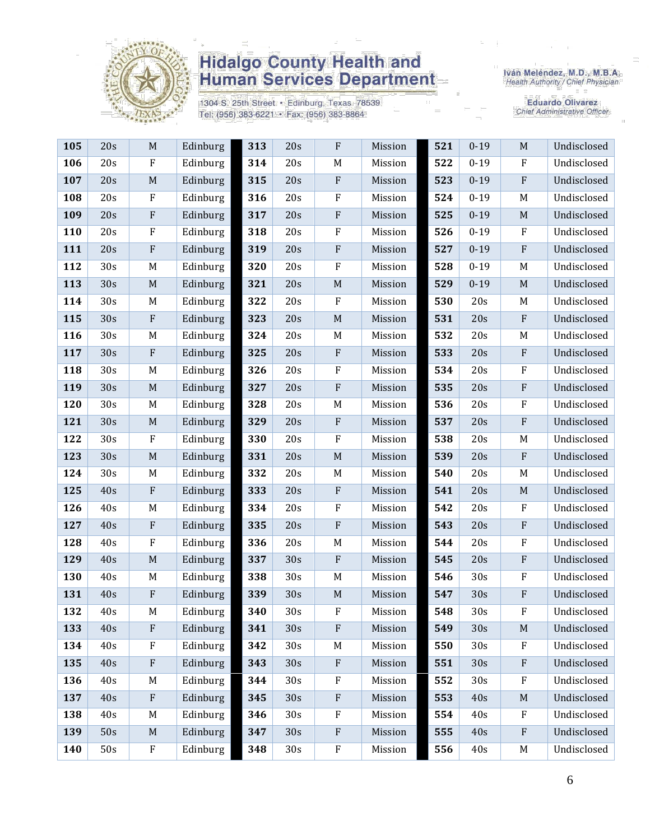

1304 S. 25th Street · Edinburg, Texas 78539 Tel: (956) 383-6221 · Fax: (956) 383-8864

Iván Meléndez, M.D., M.B.A.<br>Health Authority / Chief Physician

| 105 | 20s | M                         | Edinburg | 313 | 20s | ${\bf F}$        | Mission | 521 | $0 - 19$        | $\mathbf M$               | Undisclosed |
|-----|-----|---------------------------|----------|-----|-----|------------------|---------|-----|-----------------|---------------------------|-------------|
| 106 | 20s | $\rm F$                   | Edinburg | 314 | 20s | M                | Mission | 522 | $0 - 19$        | $\rm F$                   | Undisclosed |
| 107 | 20s | M                         | Edinburg | 315 | 20s | $\rm F$          | Mission | 523 | $0 - 19$        | ${\bf F}$                 | Undisclosed |
| 108 | 20s | $\rm F$                   | Edinburg | 316 | 20s | $\rm F$          | Mission | 524 | $0 - 19$        | M                         | Undisclosed |
| 109 | 20s | $\rm F$                   | Edinburg | 317 | 20s | $\rm F$          | Mission | 525 | $0 - 19$        | $\mathbf M$               | Undisclosed |
| 110 | 20s | $\rm F$                   | Edinburg | 318 | 20s | ${\bf F}$        | Mission | 526 | $0 - 19$        | $\rm F$                   | Undisclosed |
| 111 | 20s | $\rm F$                   | Edinburg | 319 | 20s | $\mathbf{F}$     | Mission | 527 | $0 - 19$        | ${\bf F}$                 | Undisclosed |
| 112 | 30s | M                         | Edinburg | 320 | 20s | $\rm F$          | Mission | 528 | $0 - 19$        | M                         | Undisclosed |
| 113 | 30s | $\mathbf M$               | Edinburg | 321 | 20s | $\mathbf M$      | Mission | 529 | $0 - 19$        | $\mathbf M$               | Undisclosed |
| 114 | 30s | M                         | Edinburg | 322 | 20s | $\boldsymbol{F}$ | Mission | 530 | 20s             | M                         | Undisclosed |
| 115 | 30s | ${\bf F}$                 | Edinburg | 323 | 20s | $\mathbf M$      | Mission | 531 | 20s             | ${\bf F}$                 | Undisclosed |
| 116 | 30s | M                         | Edinburg | 324 | 20s | $M_{\rm}$        | Mission | 532 | 20s             | M                         | Undisclosed |
| 117 | 30s | $\boldsymbol{\mathrm{F}}$ | Edinburg | 325 | 20s | $\rm F$          | Mission | 533 | 20s             | ${\bf F}$                 | Undisclosed |
| 118 | 30s | M                         | Edinburg | 326 | 20s | $\mathbf F$      | Mission | 534 | 20s             | $\boldsymbol{\mathrm{F}}$ | Undisclosed |
| 119 | 30s | $\mathbf M$               | Edinburg | 327 | 20s | ${\bf F}$        | Mission | 535 | 20s             | ${\bf F}$                 | Undisclosed |
| 120 | 30s | M                         | Edinburg | 328 | 20s | M                | Mission | 536 | 20s             | ${\bf F}$                 | Undisclosed |
| 121 | 30s | M                         | Edinburg | 329 | 20s | $\rm F$          | Mission | 537 | 20s             | ${\bf F}$                 | Undisclosed |
| 122 | 30s | $\rm F$                   | Edinburg | 330 | 20s | $\rm F$          | Mission | 538 | 20s             | M                         | Undisclosed |
| 123 | 30s | $\mathbf M$               | Edinburg | 331 | 20s | $\mathbf M$      | Mission | 539 | 20s             | ${\bf F}$                 | Undisclosed |
| 124 | 30s | M                         | Edinburg | 332 | 20s | $\mathbf M$      | Mission | 540 | 20s             | M                         | Undisclosed |
| 125 | 40s | $\rm F$                   | Edinburg | 333 | 20s | $\mathbf{F}$     | Mission | 541 | 20s             | $\mathbf M$               | Undisclosed |
| 126 | 40s | M                         | Edinburg | 334 | 20s | $\rm F$          | Mission | 542 | 20s             | ${\bf F}$                 | Undisclosed |
| 127 | 40s | ${\bf F}$                 | Edinburg | 335 | 20s | $\rm F$          | Mission | 543 | 20s             | ${\bf F}$                 | Undisclosed |
| 128 | 40s | $\rm F$                   | Edinburg | 336 | 20s | M                | Mission | 544 | 20s             | F                         | Undisclosed |
| 129 | 40s | M                         | Edinburg | 337 | 30s | $\rm F$          | Mission | 545 | 20s             | ${\bf F}$                 | Undisclosed |
| 130 | 40s | M                         | Edinburg | 338 | 30s | M                | Mission | 546 | 30s             | ${\bf F}$                 | Undisclosed |
| 131 | 40s | $\rm F$                   | Edinburg | 339 | 30s | $\mathbf M$      | Mission | 547 | 30s             | F                         | Undisclosed |
| 132 | 40s | M                         | Edinburg | 340 | 30s | ${\bf F}$        | Mission | 548 | 30s             | $\rm F$                   | Undisclosed |
| 133 | 40s | ${\bf F}$                 | Edinburg | 341 | 30s | $\rm F$          | Mission | 549 | 30s             | M                         | Undisclosed |
| 134 | 40s | $\rm F$                   | Edinburg | 342 | 30s | $M_{\rm}$        | Mission | 550 | 30 <sub>s</sub> | $\rm F$                   | Undisclosed |
| 135 | 40s | $\rm F$                   | Edinburg | 343 | 30s | $\rm F$          | Mission | 551 | 30s             | ${\bf F}$                 | Undisclosed |
| 136 | 40s | M                         | Edinburg | 344 | 30s | $\rm F$          | Mission | 552 | 30s             | $\rm F$                   | Undisclosed |
| 137 | 40s | ${\bf F}$                 | Edinburg | 345 | 30s | ${\bf F}$        | Mission | 553 | 40s             | M                         | Undisclosed |
| 138 | 40s | M                         | Edinburg | 346 | 30s | $\mathbf F$      | Mission | 554 | 40s             | $\boldsymbol{\mathrm{F}}$ | Undisclosed |
| 139 | 50s | M                         | Edinburg | 347 | 30s | $\rm F$          | Mission | 555 | 40s             | ${\bf F}$                 | Undisclosed |
| 140 | 50s | ${\bf F}$                 | Edinburg | 348 | 30s | ${\bf F}$        | Mission | 556 | 40s             | $\mathbf M$               | Undisclosed |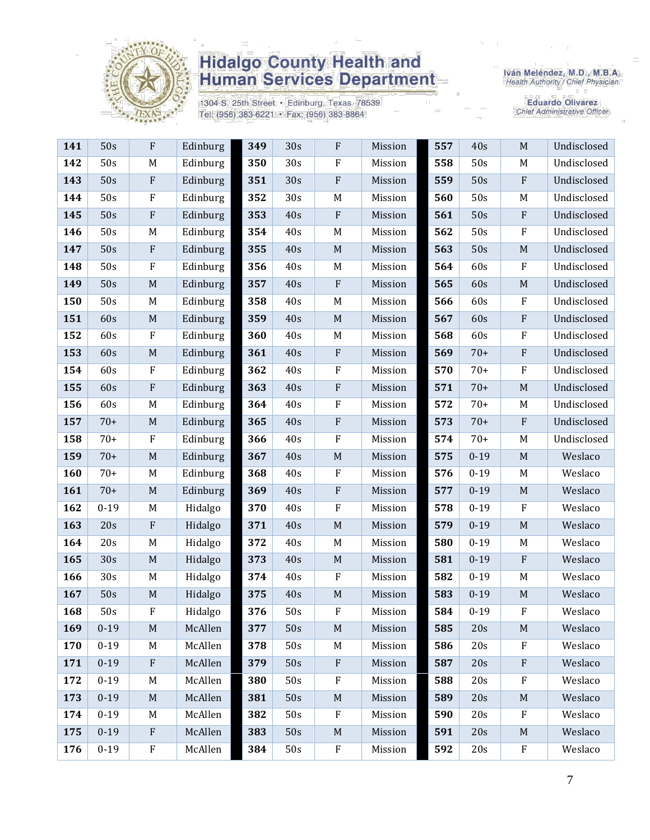

1304 S. 25th Street · Edinburg, Texas 78539 Tel: (956) 383-6221 · Fax: (956) 383-8864

Iván Meléndez, M.D., M.B.A.<br>Health Authority / Chief Physician

| 141 | 50s      | ${\bf F}$                 | Edinburg | 349 | 30s | ${\bf F}$   | Mission | 557 | 40s      | $\mathbf M$  | Undisclosed |
|-----|----------|---------------------------|----------|-----|-----|-------------|---------|-----|----------|--------------|-------------|
| 142 | 50s      | M                         | Edinburg | 350 | 30s | $\rm F$     | Mission | 558 | 50s      | M            | Undisclosed |
| 143 | 50s      | $\rm F$                   | Edinburg | 351 | 30s | $\rm F$     | Mission | 559 | 50s      | $\mathbf{F}$ | Undisclosed |
| 144 | 50s      | $\rm F$                   | Edinburg | 352 | 30s | M           | Mission | 560 | 50s      | M            | Undisclosed |
| 145 | 50s      | $\rm F$                   | Edinburg | 353 | 40s | $\rm F$     | Mission | 561 | 50s      | $\rm F$      | Undisclosed |
| 146 | 50s      | M                         | Edinburg | 354 | 40s | M           | Mission | 562 | 50s      | $\rm F$      | Undisclosed |
| 147 | 50s      | $\rm F$                   | Edinburg | 355 | 40s | $\mathbf M$ | Mission | 563 | 50s      | $\mathbf M$  | Undisclosed |
| 148 | 50s      | $\rm F$                   | Edinburg | 356 | 40s | M           | Mission | 564 | 60s      | $\mathbf{F}$ | Undisclosed |
| 149 | 50s      | $\mathbf M$               | Edinburg | 357 | 40s | $\rm F$     | Mission | 565 | 60s      | $\mathbf M$  | Undisclosed |
| 150 | 50s      | M                         | Edinburg | 358 | 40s | M           | Mission | 566 | 60s      | $\mathbf{F}$ | Undisclosed |
| 151 | 60s      | M                         | Edinburg | 359 | 40s | $\mathbf M$ | Mission | 567 | 60s      | $\mathbf{F}$ | Undisclosed |
| 152 | 60s      | $\rm F$                   | Edinburg | 360 | 40s | M           | Mission | 568 | 60s      | $\rm F$      | Undisclosed |
| 153 | 60s      | $\mathbf M$               | Edinburg | 361 | 40s | $\rm F$     | Mission | 569 | $70+$    | $\rm F$      | Undisclosed |
| 154 | 60s      | $\rm F$                   | Edinburg | 362 | 40s | $\rm F$     | Mission | 570 | $70+$    | $\rm F$      | Undisclosed |
| 155 | 60s      | $\rm F$                   | Edinburg | 363 | 40s | ${\bf F}$   | Mission | 571 | $70+$    | M            | Undisclosed |
| 156 | 60s      | M                         | Edinburg | 364 | 40s | $\rm F$     | Mission | 572 | $70+$    | M            | Undisclosed |
| 157 | $70+$    | M                         | Edinburg | 365 | 40s | $\rm F$     | Mission | 573 | $70+$    | $\rm F$      | Undisclosed |
| 158 | $70+$    | $\rm F$                   | Edinburg | 366 | 40s | $\rm F$     | Mission | 574 | $70+$    | M            | Undisclosed |
| 159 | $70+$    | $\mathbf M$               | Edinburg | 367 | 40s | $\mathbf M$ | Mission | 575 | $0 - 19$ | M            | Weslaco     |
| 160 | $70+$    | M                         | Edinburg | 368 | 40s | $\rm F$     | Mission | 576 | $0 - 19$ | M            | Weslaco     |
| 161 | $70+$    | M                         | Edinburg | 369 | 40s | $\rm F$     | Mission | 577 | $0 - 19$ | M            | Weslaco     |
| 162 | $0 - 19$ | M                         | Hidalgo  | 370 | 40s | $\rm F$     | Mission | 578 | $0 - 19$ | $\mathbf{F}$ | Weslaco     |
| 163 | 20s      | $\rm F$                   | Hidalgo  | 371 | 40s | $\mathbf M$ | Mission | 579 | $0 - 19$ | M            | Weslaco     |
| 164 | 20s      | M                         | Hidalgo  | 372 | 40s | M           | Mission | 580 | $0 - 19$ | M            | Weslaco     |
| 165 | 30s      | $\mathbf M$               | Hidalgo  | 373 | 40s | $\mathbf M$ | Mission | 581 | $0 - 19$ | $\rm F$      | Weslaco     |
| 166 | 30s      | M                         | Hidalgo  | 374 | 40s | $\rm F$     | Mission | 582 | $0 - 19$ | M            | Weslaco     |
| 167 | 50s      | M                         | Hidalgo  | 375 | 40s | $\mathbf M$ | Mission | 583 | $0 - 19$ | $\mathbf M$  | Weslaco     |
| 168 | 50s      | ${\bf F}$                 | Hidalgo  | 376 | 50s | $\rm F$     | Mission | 584 | $0 - 19$ | $\rm F$      | Weslaco     |
| 169 | $0 - 19$ | M                         | McAllen  | 377 | 50s | $\mathbf M$ | Mission | 585 | 20s      | M            | Weslaco     |
| 170 | $0 - 19$ | M                         | McAllen  | 378 | 50s | M           | Mission | 586 | 20s      | $\mathbf{F}$ | Weslaco     |
| 171 | $0 - 19$ | $\boldsymbol{\mathrm{F}}$ | McAllen  | 379 | 50s | $\rm F$     | Mission | 587 | 20s      | $\mathbf{F}$ | Weslaco     |
| 172 | $0 - 19$ | M                         | McAllen  | 380 | 50s | $\rm F$     | Mission | 588 | 20s      | $_{\rm F}$   | Weslaco     |
| 173 | $0 - 19$ | M                         | McAllen  | 381 | 50s | $\mathbf M$ | Mission | 589 | 20s      | M            | Weslaco     |
| 174 | $0 - 19$ | M                         | McAllen  | 382 | 50s | $\rm F$     | Mission | 590 | 20s      | $\mathbf F$  | Weslaco     |
| 175 | $0 - 19$ | $\mathbf{F}$              | McAllen  | 383 | 50s | $\mathbf M$ | Mission | 591 | 20s      | M            | Weslaco     |
| 176 | $0 - 19$ | ${\bf F}$                 | McAllen  | 384 | 50s | ${\bf F}$   | Mission | 592 | 20s      | ${\bf F}$    | Weslaco     |